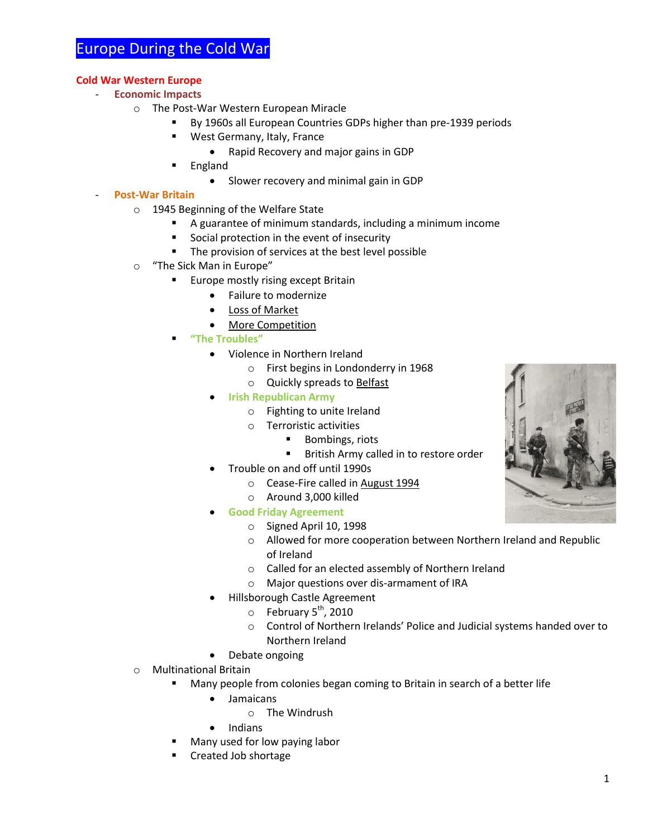# Europe During the Cold War

### **Cold War Western Europe**

- **Economic Impacts**
	- o The Post-War Western European Miracle
		- By 1960s all European Countries GDPs higher than pre-1939 periods
		- **West Germany, Italy, France** 
			- Rapid Recovery and major gains in GDP
		- England
			- Slower recovery and minimal gain in GDP

## - **Post-War Britain**

- o 1945 Beginning of the Welfare State
	- A guarantee of minimum standards, including a minimum income
	- Social protection in the event of insecurity
	- **The provision of services at the best level possible**
- o "The Sick Man in Europe"
	- **Europe mostly rising except Britain** 
		- Failure to modernize
		- Loss of Market
		- More Competition
	- **"The Troubles"**
		- Violence in Northern Ireland
			- o First begins in Londonderry in 1968
			- o Quickly spreads to Belfast
		- **Irish Republican Army**
			- o Fighting to unite Ireland
			- o Terroristic activities
				- Bombings, riots
				- **British Army called in to restore order**
			- Trouble on and off until 1990s
				- o Cease-Fire called in August 1994
				- o Around 3,000 killed
		- **Good Friday Agreement**
			- o Signed April 10, 1998
			- o Allowed for more cooperation between Northern Ireland and Republic of Ireland
			- o Called for an elected assembly of Northern Ireland
			- o Major questions over dis-armament of IRA
		- Hillsborough Castle Agreement
			- $\circ$  February 5<sup>th</sup>, 2010
			- o Control of Northern Irelands' Police and Judicial systems handed over to Northern Ireland
		- Debate ongoing
- o Multinational Britain
	- Many people from colonies began coming to Britain in search of a better life
		- Jamaicans
			- o The Windrush
		- Indians
	- Many used for low paying labor
	- Created Job shortage

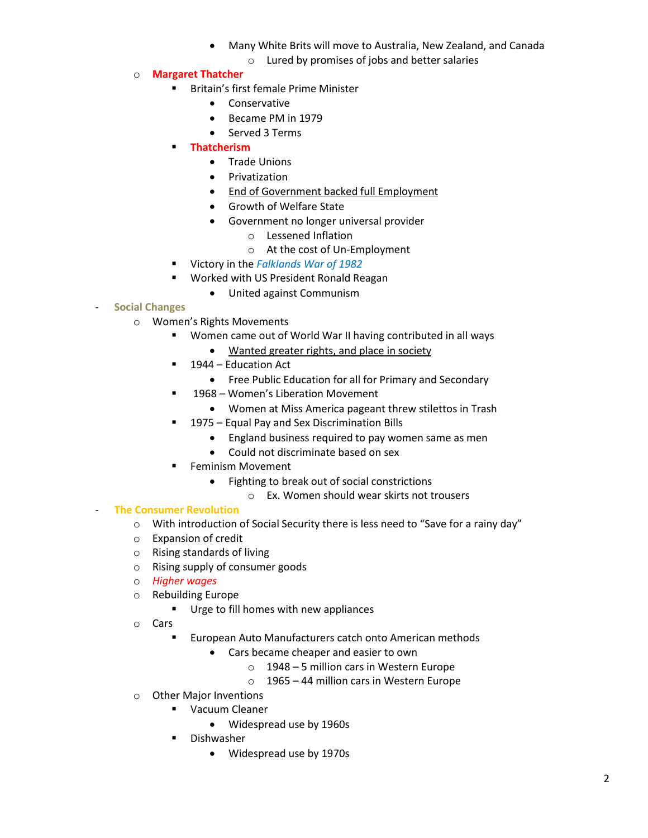- Many White Brits will move to Australia, New Zealand, and Canada
	- o Lured by promises of jobs and better salaries
- o **Margaret Thatcher**
	- **Britain's first female Prime Minister** 
		- **•** Conservative
		- Became PM in 1979
		- Served 3 Terms
	- **Thatcherism**
		- **•** Trade Unions
		- **•** Privatization
		- **.** End of Government backed full Employment
		- Growth of Welfare State
		- Government no longer universal provider
			- o Lessened Inflation
				- o At the cost of Un-Employment
	- Victory in the *Falklands War of 1982*
	- **Worked with US President Ronald Reagan** 
		- United against Communism

## - **Social Changes**

- o Women's Rights Movements
	- Women came out of World War II having contributed in all ways
		- Wanted greater rights, and place in society
	- 1944 Education Act
		- Free Public Education for all for Primary and Secondary
	- 1968 Women's Liberation Movement
		- Women at Miss America pageant threw stilettos in Trash
	- **1975 Equal Pay and Sex Discrimination Bills** 
		- England business required to pay women same as men
		- Could not discriminate based on sex
	- **Feminism Movement** 
		- Fighting to break out of social constrictions
			- o Ex. Women should wear skirts not trousers

## - **The Consumer Revolution**

- o With introduction of Social Security there is less need to "Save for a rainy day"
- o Expansion of credit
- o Rising standards of living
- o Rising supply of consumer goods
- o *Higher wages*
- o Rebuilding Europe
	- **Urge to fill homes with new appliances**
- o Cars
	- European Auto Manufacturers catch onto American methods
		- Cars became cheaper and easier to own
			- o 1948 5 million cars in Western Europe
			- o 1965 44 million cars in Western Europe
- o Other Major Inventions
	- **•** Vacuum Cleaner
		- Widespread use by 1960s
	- **Dishwasher** 
		- Widespread use by 1970s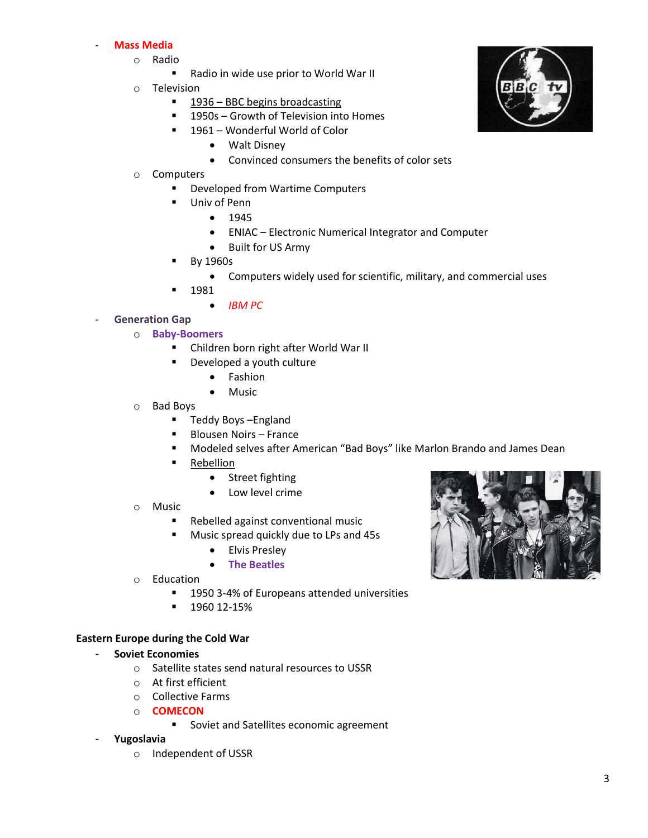### - **Mass Media**

- o Radio
	- Radio in wide use prior to World War II
- o Television
	- 1936 BBC begins broadcasting
	- **1950s Growth of Television into Homes**
	- 1961 Wonderful World of Color
		- Walt Disney
		- Convinced consumers the benefits of color sets
- o Computers
	- Developed from Wartime Computers
	- Univ of Penn
		- $1945$
		- ENIAC Electronic Numerical Integrator and Computer
		- Built for US Army
	- By 1960s
		- Computers widely used for scientific, military, and commercial uses
		- 1981
			- *IBM PC*
- **Generation Gap** 
	- o **Baby-Boomers**
		- Children born right after World War II
		- **•** Developed a youth culture
			- Fashion
			- Music
	- o Bad Boys
		- Teddy Boys England
		- Blousen Noirs France
		- Modeled selves after American "Bad Boys" like Marlon Brando and James Dean
		- **Rebellion** 
			- Street fighting
			- Low level crime
	- o Music
		- **Rebelled against conventional music**
		- **Music spread quickly due to LPs and 45s** 
			- Elvis Presley
			- **The Beatles**
	- o Education
		- **1950 3-4% of Europeans attended universities**
		- 1960 12-15%

#### **Eastern Europe during the Cold War**

#### - **Soviet Economies**

- o Satellite states send natural resources to USSR
- o At first efficient
- o Collective Farms
- o **COMECON**
	- **Soviet and Satellites economic agreement**
- **Yugoslavia**
	- o Independent of USSR



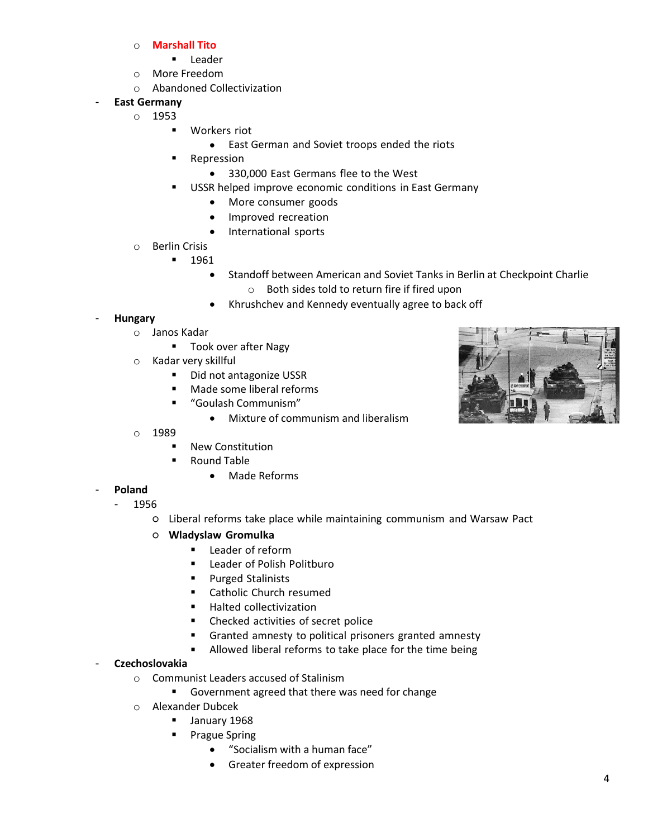- o **Marshall Tito**
	- **Leader**
- o More Freedom
- o Abandoned Collectivization
- **East Germany**
	- o 1953
		- **U** Workers riot
			- East German and Soviet troops ended the riots
		- **Repression** 
			- 330,000 East Germans flee to the West
		- USSR helped improve economic conditions in East Germany
			- More consumer goods
			- Improved recreation
			- International sports
		- o Berlin Crisis
			- $-1961$ 
				- Standoff between American and Soviet Tanks in Berlin at Checkpoint Charlie o Both sides told to return fire if fired upon
				- Khrushchev and Kennedy eventually agree to back off

## - **Hungary**

- o Janos Kadar
	- Took over after Nagy
- o Kadar very skillful
	- Did not antagonize USSR
	- Made some liberal reforms
	- "Goulash Communism"
		- Mixture of communism and liberalism



- o 1989
	- New Constitution
	- Round Table
		- Made Reforms
- **Poland**
- 1956
	- Liberal reforms take place while maintaining communism and Warsaw Pact
	- **Wladyslaw Gromulka**
		- **EXEC** Leader of reform
		- Leader of Polish Politburo
		- **Purged Stalinists**
		- Catholic Church resumed
		- Halted collectivization
		- Checked activities of secret police
		- Granted amnesty to political prisoners granted amnesty
		- **Allowed liberal reforms to take place for the time being**

## - **Czechoslovakia**

- o Communist Leaders accused of Stalinism
	- Government agreed that there was need for change
- o Alexander Dubcek
	- January 1968
	- Prague Spring
		- "Socialism with a human face"
		- Greater freedom of expression